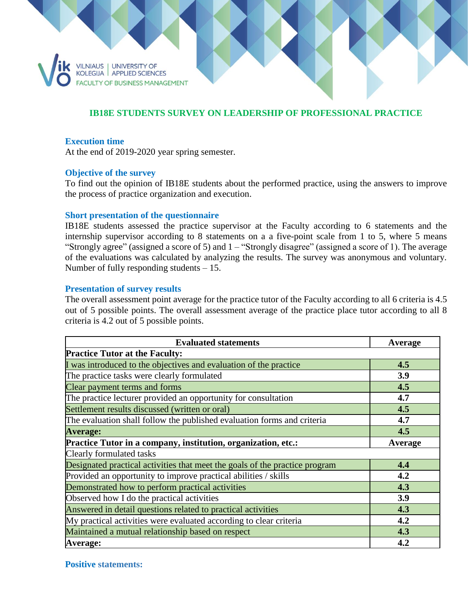

# **IB18E STUDENTS SURVEY ON LEADERSHIP OF PROFESSIONAL PRACTICE**

## **Execution time**

At the end of 2019-2020 year spring semester.

### **Objective of the survey**

To find out the opinion of IB18E students about the performed practice, using the answers to improve the process of practice organization and execution.

### **Short presentation of the questionnaire**

IB18E students assessed the practice supervisor at the Faculty according to 6 statements and the internship supervisor according to 8 statements on a a five-point scale from 1 to 5, where 5 means "Strongly agree" (assigned a score of 5) and 1 – "Strongly disagree" (assigned a score of 1). The average of the evaluations was calculated by analyzing the results. The survey was anonymous and voluntary. Number of fully responding students – 15.

### **Presentation of survey results**

The overall assessment point average for the practice tutor of the Faculty according to all 6 criteria is 4.5 out of 5 possible points. The overall assessment average of the practice place tutor according to all 8 criteria is 4.2 out of 5 possible points.

| <b>Evaluated statements</b>                                                 | Average |
|-----------------------------------------------------------------------------|---------|
| <b>Practice Tutor at the Faculty:</b>                                       |         |
| I was introduced to the objectives and evaluation of the practice           | 4.5     |
| The practice tasks were clearly formulated                                  | 3.9     |
| Clear payment terms and forms                                               | 4.5     |
| The practice lecturer provided an opportunity for consultation              | 4.7     |
| Settlement results discussed (written or oral)                              | 4.5     |
| The evaluation shall follow the published evaluation forms and criteria     | 4.7     |
| <b>Average:</b>                                                             | 4.5     |
| Practice Tutor in a company, institution, organization, etc.:               | Average |
| Clearly formulated tasks                                                    |         |
| Designated practical activities that meet the goals of the practice program | 4.4     |
| Provided an opportunity to improve practical abilities / skills             | 4.2     |
| Demonstrated how to perform practical activities                            | 4.3     |
| Observed how I do the practical activities                                  | 3.9     |
| Answered in detail questions related to practical activities                | 4.3     |
| My practical activities were evaluated according to clear criteria          | 4.2     |
| Maintained a mutual relationship based on respect                           | 4.3     |
| Average:                                                                    | 4.2     |

#### **Positive statements:**